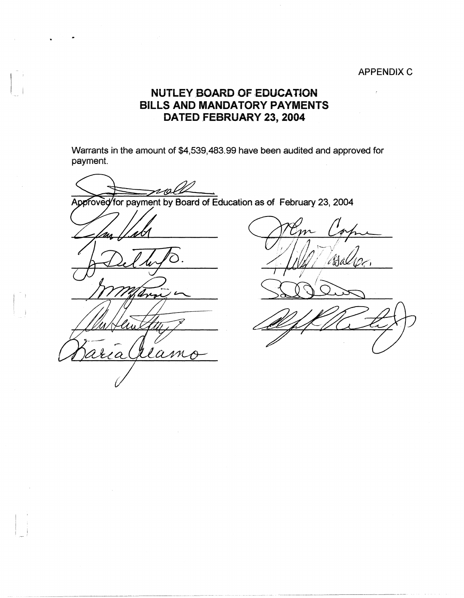## APPENDIX C

 $\overline{r}$ 

## **NUTLEY BOARD OF EDUCATION BILLS AND MANDATORY PAYMENTS DATED FEBRUARY 23, 2004**

Warrants in the amount of \$4,539,483.99 have been audited and approved for payment.

 $2n$ Approved for payment by Board of Education as of February 23, 2004

-

 $\vert \hspace{.06cm} \vert$ 

 $\mathbb{R}^3$  $\overline{\phantom{a}}$ 

Jean  $\overline{a}$ 

-~~~----- --··---~---~-"-- -----··-·-··-·-·-----------·--··-·- , \_\_

m Mal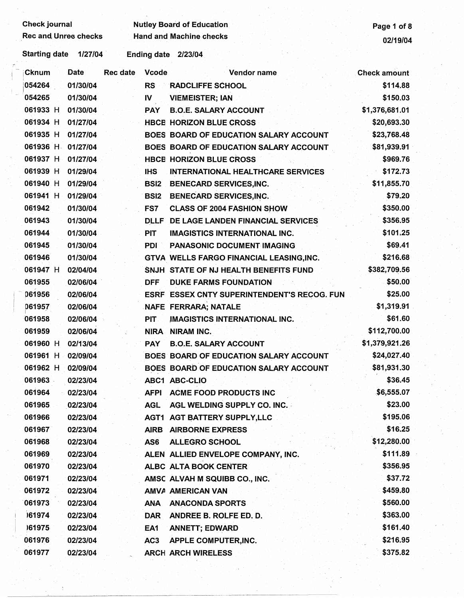| 02/19/04<br><b>Starting date</b><br>1/27/04<br>Ending date 2/23/04<br><b>Date</b><br>Vcode<br><b>Cknum</b><br>Rec date<br>Vendor name<br><b>Check amount</b><br>054264<br>01/30/04<br>\$114.88<br><b>RS</b><br><b>RADCLIFFE SCHOOL</b><br>054265<br>01/30/04<br>\$150.03<br>$\mathbf{N}$<br><b>VIEMEISTER; IAN</b><br>061933 H<br>01/30/04<br>\$1,376,681.01<br><b>B.O.E. SALARY ACCOUNT</b><br><b>PAY</b><br>061934 H<br>01/27/04<br>\$20,693.30<br><b>HBCE HORIZON BLUE CROSS</b><br>061935 H<br>01/27/04<br>\$23,768.48<br>BOES BOARD OF EDUCATION SALARY ACCOUNT<br>061936 H 01/27/04<br>BOES BOARD OF EDUCATION SALARY ACCOUNT<br>\$81,939.91<br>061937 H<br>01/27/04<br>\$969.76<br><b>HBCE HORIZON BLUE CROSS</b><br>061939 H<br>\$172.73<br>01/29/04<br><b>IHS</b><br><b>INTERNATIONAL HEALTHCARE SERVICES</b><br>061940 H<br>\$11,855.70<br>01/29/04<br>BSI2<br><b>BENECARD SERVICES, INC.</b><br>061941 H<br>01/29/04<br>\$79.20<br><b>BSI2</b><br><b>BENECARD SERVICES, INC.</b><br>061942<br>\$350.00<br>01/30/04<br><b>CLASS OF 2004 FASHION SHOW</b><br>FS7<br>061943<br>\$356.95<br>01/30/04<br>DLLF DE LAGE LANDEN FINANCIAL SERVICES<br>061944<br>\$101.25<br>01/30/04<br>PIT<br><b>IMAGISTICS INTERNATIONAL INC.</b><br>061945<br>\$69.41<br>01/30/04<br><b>PDI</b><br>PANASONIC DOCUMENT IMAGING<br>\$216.68<br>061946<br>01/30/04<br><b>GTVA WELLS FARGO FINANCIAL LEASING, INC.</b><br>061947 H<br>\$382,709.56<br>02/04/04<br>SNJH STATE OF NJ HEALTH BENEFITS FUND<br>061955<br>\$50.00<br>02/06/04<br><b>DFF</b><br><b>DUKE FARMS FOUNDATION</b><br>061956<br>\$25.00<br>02/06/04<br>ESRF ESSEX CNTY SUPERINTENDENT'S RECOG. FUN<br>\$1,319.91<br>061957<br>02/06/04<br>NAFE FERRARA; NATALE<br>\$61.60<br>061958<br>02/06/04<br>PIT.<br>IMAGISTICS INTERNATIONAL INC.<br>\$112,700.00<br>061959<br>02/06/04<br><b>NIRA</b><br>NIRAM INC.<br>\$1,379,921.26<br>061960 H<br>02/13/04<br><b>PAY</b><br><b>B.O.E. SALARY ACCOUNT</b><br>\$24,027.40<br>061961 H<br>02/09/04<br>BOES BOARD OF EDUCATION SALARY ACCOUNT<br>\$81,931.30<br>061962 H<br>02/09/04<br>BOES BOARD OF EDUCATION SALARY ACCOUNT<br>\$36.45<br>061963<br>02/23/04<br>ABC1 ABC-CLIO<br>\$6,555.07<br>061964<br>02/23/04<br><b>AFPI</b><br><b>ACME FOOD PRODUCTS INC</b><br>\$23.00<br>061965<br>02/23/04<br><b>AGL</b><br>AGL WELDING SUPPLY CO. INC.<br>\$195,06<br>061966<br>02/23/04<br><b>AGT1 AGT BATTERY SUPPLY,LLC</b><br>\$16.25<br>061967<br>02/23/04<br><b>AIRB</b><br><b>AIRBORNE EXPRESS</b><br>\$12,280.00<br>061968<br>02/23/04<br>AS6<br><b>ALLEGRO SCHOOL</b><br>\$111.89<br>061969<br>02/23/04<br>ALEN ALLIED ENVELOPE COMPANY, INC.<br>061970<br>\$356.95<br>02/23/04<br>ALBC ALTA BOOK CENTER<br>\$37.72<br>061971<br>02/23/04<br>AMSC ALVAH M SQUIBB CO., INC.<br>\$459.80<br>061972<br>02/23/04<br>AMVA AMERICAN VAN<br>\$560.00<br>061973<br>02/23/04<br>ANA<br><b>ANACONDA SPORTS</b><br>161974<br>\$363.00<br>02/23/04<br><b>DAR</b><br>ANDREE B. ROLFE ED. D.<br>\$161.40<br>161975<br>02/23/04<br>EA1<br><b>ANNETT; EDWARD</b><br>061976<br>\$216.95<br>02/23/04<br>AC <sub>3</sub><br><b>APPLE COMPUTER, INC.</b><br>061977<br>\$375.82<br>02/23/04<br><b>ARCH ARCH WIRELESS</b> | <b>Check journal</b><br><b>Rec and Unrec checks</b> |  | <b>Nutley Board of Education</b><br><b>Hand and Machine checks</b> | Page 1 of 8 |
|-------------------------------------------------------------------------------------------------------------------------------------------------------------------------------------------------------------------------------------------------------------------------------------------------------------------------------------------------------------------------------------------------------------------------------------------------------------------------------------------------------------------------------------------------------------------------------------------------------------------------------------------------------------------------------------------------------------------------------------------------------------------------------------------------------------------------------------------------------------------------------------------------------------------------------------------------------------------------------------------------------------------------------------------------------------------------------------------------------------------------------------------------------------------------------------------------------------------------------------------------------------------------------------------------------------------------------------------------------------------------------------------------------------------------------------------------------------------------------------------------------------------------------------------------------------------------------------------------------------------------------------------------------------------------------------------------------------------------------------------------------------------------------------------------------------------------------------------------------------------------------------------------------------------------------------------------------------------------------------------------------------------------------------------------------------------------------------------------------------------------------------------------------------------------------------------------------------------------------------------------------------------------------------------------------------------------------------------------------------------------------------------------------------------------------------------------------------------------------------------------------------------------------------------------------------------------------------------------------------------------------------------------------------------------------------------------------------------------------------------------------------------------------------------------------------------------------------------------------------------------------------------------------------------------------------------------------------------------------------------------------------------------------------------------------------------------------------------------------------------------------------------------------------------------------------------------------|-----------------------------------------------------|--|--------------------------------------------------------------------|-------------|
|                                                                                                                                                                                                                                                                                                                                                                                                                                                                                                                                                                                                                                                                                                                                                                                                                                                                                                                                                                                                                                                                                                                                                                                                                                                                                                                                                                                                                                                                                                                                                                                                                                                                                                                                                                                                                                                                                                                                                                                                                                                                                                                                                                                                                                                                                                                                                                                                                                                                                                                                                                                                                                                                                                                                                                                                                                                                                                                                                                                                                                                                                                                                                                                                       |                                                     |  |                                                                    |             |
|                                                                                                                                                                                                                                                                                                                                                                                                                                                                                                                                                                                                                                                                                                                                                                                                                                                                                                                                                                                                                                                                                                                                                                                                                                                                                                                                                                                                                                                                                                                                                                                                                                                                                                                                                                                                                                                                                                                                                                                                                                                                                                                                                                                                                                                                                                                                                                                                                                                                                                                                                                                                                                                                                                                                                                                                                                                                                                                                                                                                                                                                                                                                                                                                       |                                                     |  |                                                                    |             |
|                                                                                                                                                                                                                                                                                                                                                                                                                                                                                                                                                                                                                                                                                                                                                                                                                                                                                                                                                                                                                                                                                                                                                                                                                                                                                                                                                                                                                                                                                                                                                                                                                                                                                                                                                                                                                                                                                                                                                                                                                                                                                                                                                                                                                                                                                                                                                                                                                                                                                                                                                                                                                                                                                                                                                                                                                                                                                                                                                                                                                                                                                                                                                                                                       |                                                     |  |                                                                    |             |
|                                                                                                                                                                                                                                                                                                                                                                                                                                                                                                                                                                                                                                                                                                                                                                                                                                                                                                                                                                                                                                                                                                                                                                                                                                                                                                                                                                                                                                                                                                                                                                                                                                                                                                                                                                                                                                                                                                                                                                                                                                                                                                                                                                                                                                                                                                                                                                                                                                                                                                                                                                                                                                                                                                                                                                                                                                                                                                                                                                                                                                                                                                                                                                                                       |                                                     |  |                                                                    |             |
|                                                                                                                                                                                                                                                                                                                                                                                                                                                                                                                                                                                                                                                                                                                                                                                                                                                                                                                                                                                                                                                                                                                                                                                                                                                                                                                                                                                                                                                                                                                                                                                                                                                                                                                                                                                                                                                                                                                                                                                                                                                                                                                                                                                                                                                                                                                                                                                                                                                                                                                                                                                                                                                                                                                                                                                                                                                                                                                                                                                                                                                                                                                                                                                                       |                                                     |  |                                                                    |             |
|                                                                                                                                                                                                                                                                                                                                                                                                                                                                                                                                                                                                                                                                                                                                                                                                                                                                                                                                                                                                                                                                                                                                                                                                                                                                                                                                                                                                                                                                                                                                                                                                                                                                                                                                                                                                                                                                                                                                                                                                                                                                                                                                                                                                                                                                                                                                                                                                                                                                                                                                                                                                                                                                                                                                                                                                                                                                                                                                                                                                                                                                                                                                                                                                       |                                                     |  |                                                                    |             |
|                                                                                                                                                                                                                                                                                                                                                                                                                                                                                                                                                                                                                                                                                                                                                                                                                                                                                                                                                                                                                                                                                                                                                                                                                                                                                                                                                                                                                                                                                                                                                                                                                                                                                                                                                                                                                                                                                                                                                                                                                                                                                                                                                                                                                                                                                                                                                                                                                                                                                                                                                                                                                                                                                                                                                                                                                                                                                                                                                                                                                                                                                                                                                                                                       |                                                     |  |                                                                    |             |
|                                                                                                                                                                                                                                                                                                                                                                                                                                                                                                                                                                                                                                                                                                                                                                                                                                                                                                                                                                                                                                                                                                                                                                                                                                                                                                                                                                                                                                                                                                                                                                                                                                                                                                                                                                                                                                                                                                                                                                                                                                                                                                                                                                                                                                                                                                                                                                                                                                                                                                                                                                                                                                                                                                                                                                                                                                                                                                                                                                                                                                                                                                                                                                                                       |                                                     |  |                                                                    |             |
|                                                                                                                                                                                                                                                                                                                                                                                                                                                                                                                                                                                                                                                                                                                                                                                                                                                                                                                                                                                                                                                                                                                                                                                                                                                                                                                                                                                                                                                                                                                                                                                                                                                                                                                                                                                                                                                                                                                                                                                                                                                                                                                                                                                                                                                                                                                                                                                                                                                                                                                                                                                                                                                                                                                                                                                                                                                                                                                                                                                                                                                                                                                                                                                                       |                                                     |  |                                                                    |             |
|                                                                                                                                                                                                                                                                                                                                                                                                                                                                                                                                                                                                                                                                                                                                                                                                                                                                                                                                                                                                                                                                                                                                                                                                                                                                                                                                                                                                                                                                                                                                                                                                                                                                                                                                                                                                                                                                                                                                                                                                                                                                                                                                                                                                                                                                                                                                                                                                                                                                                                                                                                                                                                                                                                                                                                                                                                                                                                                                                                                                                                                                                                                                                                                                       |                                                     |  |                                                                    |             |
|                                                                                                                                                                                                                                                                                                                                                                                                                                                                                                                                                                                                                                                                                                                                                                                                                                                                                                                                                                                                                                                                                                                                                                                                                                                                                                                                                                                                                                                                                                                                                                                                                                                                                                                                                                                                                                                                                                                                                                                                                                                                                                                                                                                                                                                                                                                                                                                                                                                                                                                                                                                                                                                                                                                                                                                                                                                                                                                                                                                                                                                                                                                                                                                                       |                                                     |  |                                                                    |             |
|                                                                                                                                                                                                                                                                                                                                                                                                                                                                                                                                                                                                                                                                                                                                                                                                                                                                                                                                                                                                                                                                                                                                                                                                                                                                                                                                                                                                                                                                                                                                                                                                                                                                                                                                                                                                                                                                                                                                                                                                                                                                                                                                                                                                                                                                                                                                                                                                                                                                                                                                                                                                                                                                                                                                                                                                                                                                                                                                                                                                                                                                                                                                                                                                       |                                                     |  |                                                                    |             |
|                                                                                                                                                                                                                                                                                                                                                                                                                                                                                                                                                                                                                                                                                                                                                                                                                                                                                                                                                                                                                                                                                                                                                                                                                                                                                                                                                                                                                                                                                                                                                                                                                                                                                                                                                                                                                                                                                                                                                                                                                                                                                                                                                                                                                                                                                                                                                                                                                                                                                                                                                                                                                                                                                                                                                                                                                                                                                                                                                                                                                                                                                                                                                                                                       |                                                     |  |                                                                    |             |
|                                                                                                                                                                                                                                                                                                                                                                                                                                                                                                                                                                                                                                                                                                                                                                                                                                                                                                                                                                                                                                                                                                                                                                                                                                                                                                                                                                                                                                                                                                                                                                                                                                                                                                                                                                                                                                                                                                                                                                                                                                                                                                                                                                                                                                                                                                                                                                                                                                                                                                                                                                                                                                                                                                                                                                                                                                                                                                                                                                                                                                                                                                                                                                                                       |                                                     |  |                                                                    |             |
|                                                                                                                                                                                                                                                                                                                                                                                                                                                                                                                                                                                                                                                                                                                                                                                                                                                                                                                                                                                                                                                                                                                                                                                                                                                                                                                                                                                                                                                                                                                                                                                                                                                                                                                                                                                                                                                                                                                                                                                                                                                                                                                                                                                                                                                                                                                                                                                                                                                                                                                                                                                                                                                                                                                                                                                                                                                                                                                                                                                                                                                                                                                                                                                                       |                                                     |  |                                                                    |             |
|                                                                                                                                                                                                                                                                                                                                                                                                                                                                                                                                                                                                                                                                                                                                                                                                                                                                                                                                                                                                                                                                                                                                                                                                                                                                                                                                                                                                                                                                                                                                                                                                                                                                                                                                                                                                                                                                                                                                                                                                                                                                                                                                                                                                                                                                                                                                                                                                                                                                                                                                                                                                                                                                                                                                                                                                                                                                                                                                                                                                                                                                                                                                                                                                       |                                                     |  |                                                                    |             |
|                                                                                                                                                                                                                                                                                                                                                                                                                                                                                                                                                                                                                                                                                                                                                                                                                                                                                                                                                                                                                                                                                                                                                                                                                                                                                                                                                                                                                                                                                                                                                                                                                                                                                                                                                                                                                                                                                                                                                                                                                                                                                                                                                                                                                                                                                                                                                                                                                                                                                                                                                                                                                                                                                                                                                                                                                                                                                                                                                                                                                                                                                                                                                                                                       |                                                     |  |                                                                    |             |
|                                                                                                                                                                                                                                                                                                                                                                                                                                                                                                                                                                                                                                                                                                                                                                                                                                                                                                                                                                                                                                                                                                                                                                                                                                                                                                                                                                                                                                                                                                                                                                                                                                                                                                                                                                                                                                                                                                                                                                                                                                                                                                                                                                                                                                                                                                                                                                                                                                                                                                                                                                                                                                                                                                                                                                                                                                                                                                                                                                                                                                                                                                                                                                                                       |                                                     |  |                                                                    |             |
|                                                                                                                                                                                                                                                                                                                                                                                                                                                                                                                                                                                                                                                                                                                                                                                                                                                                                                                                                                                                                                                                                                                                                                                                                                                                                                                                                                                                                                                                                                                                                                                                                                                                                                                                                                                                                                                                                                                                                                                                                                                                                                                                                                                                                                                                                                                                                                                                                                                                                                                                                                                                                                                                                                                                                                                                                                                                                                                                                                                                                                                                                                                                                                                                       |                                                     |  |                                                                    |             |
|                                                                                                                                                                                                                                                                                                                                                                                                                                                                                                                                                                                                                                                                                                                                                                                                                                                                                                                                                                                                                                                                                                                                                                                                                                                                                                                                                                                                                                                                                                                                                                                                                                                                                                                                                                                                                                                                                                                                                                                                                                                                                                                                                                                                                                                                                                                                                                                                                                                                                                                                                                                                                                                                                                                                                                                                                                                                                                                                                                                                                                                                                                                                                                                                       |                                                     |  |                                                                    |             |
|                                                                                                                                                                                                                                                                                                                                                                                                                                                                                                                                                                                                                                                                                                                                                                                                                                                                                                                                                                                                                                                                                                                                                                                                                                                                                                                                                                                                                                                                                                                                                                                                                                                                                                                                                                                                                                                                                                                                                                                                                                                                                                                                                                                                                                                                                                                                                                                                                                                                                                                                                                                                                                                                                                                                                                                                                                                                                                                                                                                                                                                                                                                                                                                                       |                                                     |  |                                                                    |             |
|                                                                                                                                                                                                                                                                                                                                                                                                                                                                                                                                                                                                                                                                                                                                                                                                                                                                                                                                                                                                                                                                                                                                                                                                                                                                                                                                                                                                                                                                                                                                                                                                                                                                                                                                                                                                                                                                                                                                                                                                                                                                                                                                                                                                                                                                                                                                                                                                                                                                                                                                                                                                                                                                                                                                                                                                                                                                                                                                                                                                                                                                                                                                                                                                       |                                                     |  |                                                                    |             |
|                                                                                                                                                                                                                                                                                                                                                                                                                                                                                                                                                                                                                                                                                                                                                                                                                                                                                                                                                                                                                                                                                                                                                                                                                                                                                                                                                                                                                                                                                                                                                                                                                                                                                                                                                                                                                                                                                                                                                                                                                                                                                                                                                                                                                                                                                                                                                                                                                                                                                                                                                                                                                                                                                                                                                                                                                                                                                                                                                                                                                                                                                                                                                                                                       |                                                     |  |                                                                    |             |
|                                                                                                                                                                                                                                                                                                                                                                                                                                                                                                                                                                                                                                                                                                                                                                                                                                                                                                                                                                                                                                                                                                                                                                                                                                                                                                                                                                                                                                                                                                                                                                                                                                                                                                                                                                                                                                                                                                                                                                                                                                                                                                                                                                                                                                                                                                                                                                                                                                                                                                                                                                                                                                                                                                                                                                                                                                                                                                                                                                                                                                                                                                                                                                                                       |                                                     |  |                                                                    |             |
|                                                                                                                                                                                                                                                                                                                                                                                                                                                                                                                                                                                                                                                                                                                                                                                                                                                                                                                                                                                                                                                                                                                                                                                                                                                                                                                                                                                                                                                                                                                                                                                                                                                                                                                                                                                                                                                                                                                                                                                                                                                                                                                                                                                                                                                                                                                                                                                                                                                                                                                                                                                                                                                                                                                                                                                                                                                                                                                                                                                                                                                                                                                                                                                                       |                                                     |  |                                                                    |             |
|                                                                                                                                                                                                                                                                                                                                                                                                                                                                                                                                                                                                                                                                                                                                                                                                                                                                                                                                                                                                                                                                                                                                                                                                                                                                                                                                                                                                                                                                                                                                                                                                                                                                                                                                                                                                                                                                                                                                                                                                                                                                                                                                                                                                                                                                                                                                                                                                                                                                                                                                                                                                                                                                                                                                                                                                                                                                                                                                                                                                                                                                                                                                                                                                       |                                                     |  |                                                                    |             |
|                                                                                                                                                                                                                                                                                                                                                                                                                                                                                                                                                                                                                                                                                                                                                                                                                                                                                                                                                                                                                                                                                                                                                                                                                                                                                                                                                                                                                                                                                                                                                                                                                                                                                                                                                                                                                                                                                                                                                                                                                                                                                                                                                                                                                                                                                                                                                                                                                                                                                                                                                                                                                                                                                                                                                                                                                                                                                                                                                                                                                                                                                                                                                                                                       |                                                     |  |                                                                    |             |
|                                                                                                                                                                                                                                                                                                                                                                                                                                                                                                                                                                                                                                                                                                                                                                                                                                                                                                                                                                                                                                                                                                                                                                                                                                                                                                                                                                                                                                                                                                                                                                                                                                                                                                                                                                                                                                                                                                                                                                                                                                                                                                                                                                                                                                                                                                                                                                                                                                                                                                                                                                                                                                                                                                                                                                                                                                                                                                                                                                                                                                                                                                                                                                                                       |                                                     |  |                                                                    |             |
|                                                                                                                                                                                                                                                                                                                                                                                                                                                                                                                                                                                                                                                                                                                                                                                                                                                                                                                                                                                                                                                                                                                                                                                                                                                                                                                                                                                                                                                                                                                                                                                                                                                                                                                                                                                                                                                                                                                                                                                                                                                                                                                                                                                                                                                                                                                                                                                                                                                                                                                                                                                                                                                                                                                                                                                                                                                                                                                                                                                                                                                                                                                                                                                                       |                                                     |  |                                                                    |             |
|                                                                                                                                                                                                                                                                                                                                                                                                                                                                                                                                                                                                                                                                                                                                                                                                                                                                                                                                                                                                                                                                                                                                                                                                                                                                                                                                                                                                                                                                                                                                                                                                                                                                                                                                                                                                                                                                                                                                                                                                                                                                                                                                                                                                                                                                                                                                                                                                                                                                                                                                                                                                                                                                                                                                                                                                                                                                                                                                                                                                                                                                                                                                                                                                       |                                                     |  |                                                                    |             |
|                                                                                                                                                                                                                                                                                                                                                                                                                                                                                                                                                                                                                                                                                                                                                                                                                                                                                                                                                                                                                                                                                                                                                                                                                                                                                                                                                                                                                                                                                                                                                                                                                                                                                                                                                                                                                                                                                                                                                                                                                                                                                                                                                                                                                                                                                                                                                                                                                                                                                                                                                                                                                                                                                                                                                                                                                                                                                                                                                                                                                                                                                                                                                                                                       |                                                     |  |                                                                    |             |
|                                                                                                                                                                                                                                                                                                                                                                                                                                                                                                                                                                                                                                                                                                                                                                                                                                                                                                                                                                                                                                                                                                                                                                                                                                                                                                                                                                                                                                                                                                                                                                                                                                                                                                                                                                                                                                                                                                                                                                                                                                                                                                                                                                                                                                                                                                                                                                                                                                                                                                                                                                                                                                                                                                                                                                                                                                                                                                                                                                                                                                                                                                                                                                                                       |                                                     |  |                                                                    |             |
|                                                                                                                                                                                                                                                                                                                                                                                                                                                                                                                                                                                                                                                                                                                                                                                                                                                                                                                                                                                                                                                                                                                                                                                                                                                                                                                                                                                                                                                                                                                                                                                                                                                                                                                                                                                                                                                                                                                                                                                                                                                                                                                                                                                                                                                                                                                                                                                                                                                                                                                                                                                                                                                                                                                                                                                                                                                                                                                                                                                                                                                                                                                                                                                                       |                                                     |  |                                                                    |             |
|                                                                                                                                                                                                                                                                                                                                                                                                                                                                                                                                                                                                                                                                                                                                                                                                                                                                                                                                                                                                                                                                                                                                                                                                                                                                                                                                                                                                                                                                                                                                                                                                                                                                                                                                                                                                                                                                                                                                                                                                                                                                                                                                                                                                                                                                                                                                                                                                                                                                                                                                                                                                                                                                                                                                                                                                                                                                                                                                                                                                                                                                                                                                                                                                       |                                                     |  |                                                                    |             |
|                                                                                                                                                                                                                                                                                                                                                                                                                                                                                                                                                                                                                                                                                                                                                                                                                                                                                                                                                                                                                                                                                                                                                                                                                                                                                                                                                                                                                                                                                                                                                                                                                                                                                                                                                                                                                                                                                                                                                                                                                                                                                                                                                                                                                                                                                                                                                                                                                                                                                                                                                                                                                                                                                                                                                                                                                                                                                                                                                                                                                                                                                                                                                                                                       |                                                     |  |                                                                    |             |
|                                                                                                                                                                                                                                                                                                                                                                                                                                                                                                                                                                                                                                                                                                                                                                                                                                                                                                                                                                                                                                                                                                                                                                                                                                                                                                                                                                                                                                                                                                                                                                                                                                                                                                                                                                                                                                                                                                                                                                                                                                                                                                                                                                                                                                                                                                                                                                                                                                                                                                                                                                                                                                                                                                                                                                                                                                                                                                                                                                                                                                                                                                                                                                                                       |                                                     |  |                                                                    |             |
|                                                                                                                                                                                                                                                                                                                                                                                                                                                                                                                                                                                                                                                                                                                                                                                                                                                                                                                                                                                                                                                                                                                                                                                                                                                                                                                                                                                                                                                                                                                                                                                                                                                                                                                                                                                                                                                                                                                                                                                                                                                                                                                                                                                                                                                                                                                                                                                                                                                                                                                                                                                                                                                                                                                                                                                                                                                                                                                                                                                                                                                                                                                                                                                                       |                                                     |  |                                                                    |             |
|                                                                                                                                                                                                                                                                                                                                                                                                                                                                                                                                                                                                                                                                                                                                                                                                                                                                                                                                                                                                                                                                                                                                                                                                                                                                                                                                                                                                                                                                                                                                                                                                                                                                                                                                                                                                                                                                                                                                                                                                                                                                                                                                                                                                                                                                                                                                                                                                                                                                                                                                                                                                                                                                                                                                                                                                                                                                                                                                                                                                                                                                                                                                                                                                       |                                                     |  |                                                                    |             |
|                                                                                                                                                                                                                                                                                                                                                                                                                                                                                                                                                                                                                                                                                                                                                                                                                                                                                                                                                                                                                                                                                                                                                                                                                                                                                                                                                                                                                                                                                                                                                                                                                                                                                                                                                                                                                                                                                                                                                                                                                                                                                                                                                                                                                                                                                                                                                                                                                                                                                                                                                                                                                                                                                                                                                                                                                                                                                                                                                                                                                                                                                                                                                                                                       |                                                     |  |                                                                    |             |
|                                                                                                                                                                                                                                                                                                                                                                                                                                                                                                                                                                                                                                                                                                                                                                                                                                                                                                                                                                                                                                                                                                                                                                                                                                                                                                                                                                                                                                                                                                                                                                                                                                                                                                                                                                                                                                                                                                                                                                                                                                                                                                                                                                                                                                                                                                                                                                                                                                                                                                                                                                                                                                                                                                                                                                                                                                                                                                                                                                                                                                                                                                                                                                                                       |                                                     |  |                                                                    |             |
|                                                                                                                                                                                                                                                                                                                                                                                                                                                                                                                                                                                                                                                                                                                                                                                                                                                                                                                                                                                                                                                                                                                                                                                                                                                                                                                                                                                                                                                                                                                                                                                                                                                                                                                                                                                                                                                                                                                                                                                                                                                                                                                                                                                                                                                                                                                                                                                                                                                                                                                                                                                                                                                                                                                                                                                                                                                                                                                                                                                                                                                                                                                                                                                                       |                                                     |  |                                                                    |             |
|                                                                                                                                                                                                                                                                                                                                                                                                                                                                                                                                                                                                                                                                                                                                                                                                                                                                                                                                                                                                                                                                                                                                                                                                                                                                                                                                                                                                                                                                                                                                                                                                                                                                                                                                                                                                                                                                                                                                                                                                                                                                                                                                                                                                                                                                                                                                                                                                                                                                                                                                                                                                                                                                                                                                                                                                                                                                                                                                                                                                                                                                                                                                                                                                       |                                                     |  |                                                                    |             |

-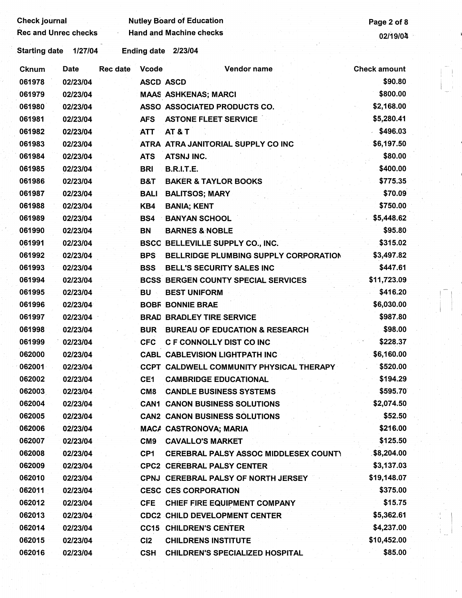| <b>Check journal</b> | <b>Rec and Unrec checks</b> | <b>Nutley Board of Education</b> | Page 2 of 8     |                                              |                     |
|----------------------|-----------------------------|----------------------------------|-----------------|----------------------------------------------|---------------------|
|                      |                             |                                  |                 | <b>Hand and Machine checks</b>               | 02/19/04            |
| <b>Starting date</b> | 1/27/04                     |                                  |                 | Ending date 2/23/04                          |                     |
| <b>Cknum</b>         | Date                        | <b>Rec date</b>                  | <b>Vcode</b>    | Vendor name                                  | <b>Check amount</b> |
| 061978               | 02/23/04                    |                                  |                 | <b>ASCD ASCD</b>                             | \$90.80             |
| 061979               | 02/23/04                    |                                  |                 | <b>MAAS ASHKENAS; MARCI</b>                  | \$800.00            |
| 061980               | 02/23/04                    |                                  |                 | ASSO ASSOCIATED PRODUCTS CO.                 | \$2,168.00          |
| 061981               | 02/23/04                    |                                  | <b>AFS</b>      | <b>ASTONE FLEET SERVICE</b>                  | \$5,280.41          |
| 061982               | 02/23/04                    |                                  | <b>ATT</b>      | <b>AT &amp; T</b>                            | \$496.03            |
| 061983               | 02/23/04                    |                                  |                 | ATRA ATRA JANITORIAL SUPPLY CO INC           | \$6,197.50          |
| 061984               | 02/23/04                    |                                  | <b>ATS</b>      | <b>ATSNJ INC.</b>                            | \$80.00             |
| 061985               | 02/23/04                    |                                  | <b>BRI</b>      | <b>B.R.I.T.E.</b>                            | \$400.00            |
| 061986               | 02/23/04                    |                                  | B&T             | <b>BAKER &amp; TAYLOR BOOKS</b>              | \$775.35            |
| 061987               | 02/23/04                    |                                  | <b>BALI</b>     | <b>BALITSOS; MARY</b>                        | \$70.09             |
| 061988               | 02/23/04                    |                                  | KB4             | <b>BANIA; KENT</b>                           | \$750.00            |
| 061989               | 02/23/04                    |                                  | BS4             | <b>BANYAN SCHOOL</b>                         | \$5,448.62          |
| 061990               | 02/23/04                    |                                  | <b>BN</b>       | <b>BARNES &amp; NOBLE</b>                    | \$95.80             |
| 061991               | 02/23/04                    |                                  |                 | BSCC BELLEVILLE SUPPLY CO., INC.             | \$315.02            |
| 061992               | 02/23/04                    |                                  | <b>BPS</b>      | BELLRIDGE PLUMBING SUPPLY CORPORATION        | \$3,497.82          |
| 061993               | 02/23/04                    |                                  | <b>BSS</b>      | BELL'S SECURITY SALES INC                    | \$447.61            |
| 061994               | 02/23/04                    |                                  |                 | <b>BCSS BERGEN COUNTY SPECIAL SERVICES</b>   | \$11,723.09         |
| 061995               | 02/23/04                    |                                  | BU              | <b>BEST UNIFORM</b>                          | \$416.20            |
| 061996               | 02/23/04                    |                                  |                 | <b>BOBF BONNIE BRAE</b>                      | \$6,030.00          |
| 061997               | 02/23/04                    |                                  |                 | <b>BRAD BRADLEY TIRE SERVICE</b>             | \$987.80            |
| 061998               | 02/23/04                    |                                  | <b>BUR</b>      | <b>BUREAU OF EDUCATION &amp; RESEARCH</b>    | \$98.00             |
| 061999               | 02/23/04                    |                                  | <b>CFC</b>      | C F CONNOLLY DIST CO INC                     | \$228.37            |
| 062000               | 02/23/04                    |                                  |                 | <b>CABL CABLEVISION LIGHTPATH INC</b>        | \$6,160.00          |
| 062001               | 02/23/04                    |                                  |                 | CCPT CALDWELL COMMUNITY PHYSICAL THERAPY     | \$520.00            |
| 062002               | 02/23/04                    |                                  | CE1             | <b>CAMBRIDGE EDUCATIONAL</b>                 | \$194.29            |
| 062003               | 02/23/04                    |                                  | CM <sub>8</sub> | <b>CANDLE BUSINESS SYSTEMS</b>               | \$595.70            |
| 062004               | 02/23/04                    |                                  |                 | <b>CAN1 CANON BUSINESS SOLUTIONS</b>         | \$2,074.50          |
| 062005               | 02/23/04                    |                                  |                 | <b>CAN2 CANON BUSINESS SOLUTIONS</b>         | \$52.50             |
| 062006               | 02/23/04                    |                                  |                 | <b>MACA CASTRONOVA; MARIA</b>                | \$216.00            |
| 062007               | 02/23/04                    |                                  | CM <sub>9</sub> | <b>CAVALLO'S MARKET</b>                      | \$125.50            |
| 062008               | 02/23/04                    |                                  | CP1             | <b>CEREBRAL PALSY ASSOC MIDDLESEX COUNT)</b> | \$8,204.00          |
| 062009               | 02/23/04                    |                                  |                 | <b>CPC2 CEREBRAL PALSY CENTER</b>            | \$3,137.03          |
| 062010               | 02/23/04                    |                                  |                 | CPNJ CEREBRAL PALSY OF NORTH JERSEY          | \$19,148.07         |
| 062011               | 02/23/04                    |                                  |                 | <b>CESC CES CORPORATION</b>                  | \$375.00            |
| 062012               | 02/23/04                    |                                  | <b>CFE</b>      | CHIEF FIRE EQUIPMENT COMPANY                 | \$15.75             |
| 062013               | 02/23/04                    |                                  |                 | <b>CDC2 CHILD DEVELOPMENT CENTER</b>         | \$5,362.61          |
| 062014               | 02/23/04                    |                                  |                 | <b>CC15 CHILDREN'S CENTER</b>                | \$4,237.00          |
| 062015               | 02/23/04                    |                                  | C <sub>12</sub> | <b>CHILDRENS INSTITUTE</b>                   | \$10,452.00         |
| 062016               | 02/23/04                    |                                  | <b>CSH</b>      | <b>CHILDREN'S SPECIALIZED HOSPITAL</b>       | \$85.00             |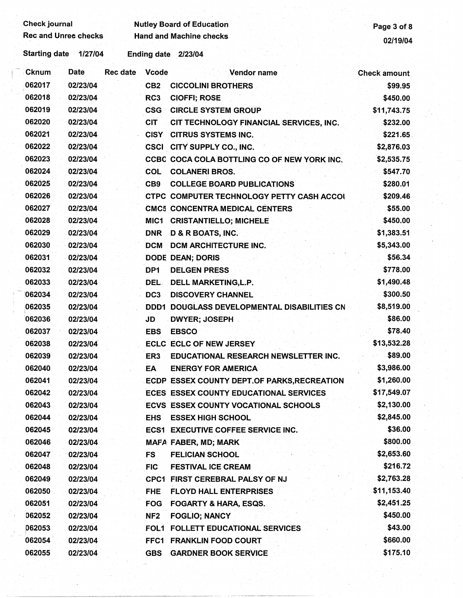| <b>Check journal</b>        |          |                    |                 | <b>Nutley Board of Education</b>            |                     |  |
|-----------------------------|----------|--------------------|-----------------|---------------------------------------------|---------------------|--|
| <b>Rec and Unree checks</b> |          |                    |                 | <b>Hand and Machine checks</b>              | Page 3 of 8         |  |
| <b>Starting date</b>        | 1/27/04  | <b>Ending date</b> | 2/23/04         | 02/19/04                                    |                     |  |
| <b>Cknum</b>                | Date     | <b>Rec date</b>    | Vcode           | Vendor name                                 | <b>Check amount</b> |  |
| 062017                      | 02/23/04 |                    | CB <sub>2</sub> | <b>CICCOLINI BROTHERS</b>                   | \$99.95             |  |
| 062018                      | 02/23/04 |                    | RC <sub>3</sub> | <b>CIOFFI; ROSE</b>                         | \$450.00            |  |
| 062019                      | 02/23/04 |                    | <b>CSG</b>      | <b>CIRCLE SYSTEM GROUP</b>                  | \$11,743.75         |  |
| 062020                      | 02/23/04 |                    | <b>CIT</b>      | CIT TECHNOLOGY FINANCIAL SERVICES, INC.     | \$232.00            |  |
| 062021                      | 02/23/04 |                    | <b>CISY</b>     | <b>CITRUS SYSTEMS INC.</b>                  | \$221.65            |  |
| 062022                      | 02/23/04 |                    |                 | CSCI CITY SUPPLY CO., INC.                  | \$2,876.03          |  |
| 062023                      | 02/23/04 |                    |                 | CCBC COCA COLA BOTTLING CO OF NEW YORK INC. | \$2,535.75          |  |
| 062024                      | 02/23/04 |                    | COL             | <b>COLANERI BROS.</b>                       | \$547.70            |  |
| 062025                      | 02/23/04 |                    | CB <sub>9</sub> | <b>COLLEGE BOARD PUBLICATIONS</b>           | \$280.01            |  |
| 062026                      | 02/23/04 |                    |                 | CTPC COMPUTER TECHNOLOGY PETTY CASH ACCOL   | \$209.46            |  |
| 062027                      | 02/23/04 |                    |                 | <b>CMC5 CONCENTRA MEDICAL CENTERS</b>       | \$55.00             |  |
| 062028                      | 02/23/04 |                    | MIC1            | <b>CRISTANTIELLO; MICHELE</b>               | \$450.00            |  |
| 062029                      | 02/23/04 |                    | <b>DNR</b>      | <b>D &amp; R BOATS, INC.</b>                | \$1,383.51          |  |
| 062030                      | 02/23/04 |                    | <b>DCM</b>      | <b>DCM ARCHITECTURE INC.</b>                | \$5,343.00          |  |
| 062031                      | 02/23/04 |                    |                 | <b>DODE DEAN; DORIS</b>                     | \$56.34             |  |
| 062032                      | 02/23/04 |                    | DP <sub>1</sub> | <b>DELGEN PRESS</b>                         | \$778.00            |  |
| 062033                      | 02/23/04 |                    | DEL.            | DELL MARKETING, L.P.                        | \$1,490.48          |  |
| 062034                      | 02/23/04 |                    | DC <sub>3</sub> | <b>DISCOVERY CHANNEL</b>                    | \$300.50            |  |
| 062035                      | 02/23/04 |                    | DDD1            | DOUGLASS DEVELOPMENTAL DISABILITIES CN      | \$8,519.00          |  |
| 062036                      | 02/23/04 |                    | JD              | <b>DWYER; JOSEPH</b>                        | \$86.00             |  |
| 062037                      | 02/23/04 |                    | <b>EBS</b>      | <b>EBSCO</b>                                | \$78.40             |  |
| 062038                      | 02/23/04 |                    |                 | <b>ECLC ECLC OF NEW JERSEY</b>              | \$13,532.28         |  |
| 062039                      | 02/23/04 |                    | ER3             | EDUCATIONAL RESEARCH NEWSLETTER INC.        | \$89.00             |  |
| 062040                      | 02/23/04 |                    | EA              | <b>ENERGY FOR AMERICA</b>                   | \$3,986.00          |  |
| 062041                      | 02/23/04 |                    |                 | ECDP ESSEX COUNTY DEPT.OF PARKS, RECREATION | \$1,260.00          |  |
| 062042                      | 02/23/04 |                    |                 | ECES ESSEX COUNTY EDUCATIONAL SERVICES      | \$17,549.07         |  |
| 062043                      | 02/23/04 |                    |                 | ECVS ESSEX COUNTY VOCATIONAL SCHOOLS        | \$2,130.00          |  |
| 062044                      | 02/23/04 |                    | <b>EHS</b>      | <b>ESSEX HIGH SCHOOL</b>                    | \$2,845.00          |  |
| 062045                      | 02/23/04 |                    |                 | <b>ECS1 EXECUTIVE COFFEE SERVICE INC.</b>   | \$36.00             |  |
| 062046                      | 02/23/04 |                    |                 | <b>MAFA FABER, MD; MARK</b>                 | \$800.00            |  |
| 062047                      | 02/23/04 |                    | FS              | <b>FELICIAN SCHOOL</b>                      | \$2,653.60          |  |
| 062048                      | 02/23/04 |                    | <b>FIC</b>      | <b>FESTIVAL ICE CREAM</b>                   | \$216.72            |  |
| 062049                      | 02/23/04 |                    |                 | CPC1 FIRST CEREBRAL PALSY OF NJ             | \$2,763.28          |  |
| 062050                      | 02/23/04 |                    | <b>FHE</b>      | <b>FLOYD HALL ENTERPRISES</b>               | \$11,153.40         |  |
| 062051                      | 02/23/04 |                    | <b>FOG</b>      | <b>FOGARTY &amp; HARA, ESQS.</b>            | \$2,451.25          |  |
| 062052                      | 02/23/04 |                    | NF <sub>2</sub> | <b>FOGLIO; NANCY</b>                        | \$450.00            |  |
| 062053                      | 02/23/04 |                    |                 | FOL1 FOLLETT EDUCATIONAL SERVICES.          | \$43.00             |  |
| 062054                      | 02/23/04 |                    |                 | FFC1 FRANKLIN FOOD COURT                    | \$660.00            |  |
| 062055                      | 02/23/04 |                    | <b>GBS</b>      | <b>GARDNER BOOK SERVICE</b>                 | \$175.10            |  |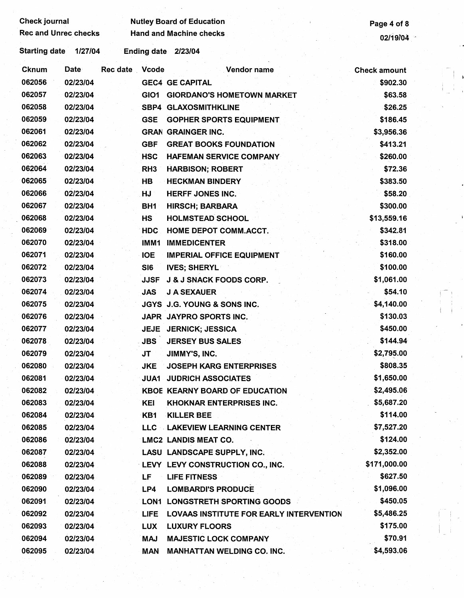## Check journal **Check is a constructed by Autley Board of Education** Page 4 of 8<br>Rec and Unrec checks **Page 4 of 8**<br>Page 4 of 8

Starting date 1/27/04 Ending date 2/23/04

| <b>Cknum</b> | Date     | Rec date Vcode |                 | Vendor name                                    | <b>Check amount</b> |
|--------------|----------|----------------|-----------------|------------------------------------------------|---------------------|
| 062056       | 02/23/04 |                |                 | <b>GEC4 GE CAPITAL</b>                         | \$902.30            |
| 062057       | 02/23/04 |                | GIO1            | <b>GIORDANO'S HOMETOWN MARKET</b>              | \$63.58             |
| 062058       | 02/23/04 |                |                 | <b>SBP4 GLAXOSMITHKLINE</b>                    | \$26.25             |
| 062059       | 02/23/04 |                | <b>GSE</b>      | <b>GOPHER SPORTS EQUIPMENT</b>                 | \$186.45            |
| 062061       | 02/23/04 |                |                 | <b>GRAN GRAINGER INC.</b>                      | \$3,956.36          |
| 062062       | 02/23/04 |                | <b>GBF</b>      | <b>GREAT BOOKS FOUNDATION</b>                  | \$413.21            |
| 062063       | 02/23/04 |                | <b>HSC</b>      | HAFEMAN SERVICE COMPANY                        | \$260.00            |
| 062064       | 02/23/04 |                | RH <sub>3</sub> | <b>HARBISON; ROBERT</b>                        | \$72.36             |
| 062065       | 02/23/04 |                | HB              | <b>HECKMAN BINDERY</b>                         | \$383.50            |
| 062066       | 02/23/04 |                | HJ              | <b>HERFF JONES INC.</b>                        | \$58.20             |
| 062067       | 02/23/04 |                | BH <sub>1</sub> | <b>HIRSCH; BARBARA</b>                         | \$300.00            |
| 062068       | 02/23/04 |                | <b>HS</b>       | <b>HOLMSTEAD SCHOOL</b>                        | \$13,559.16         |
| 062069       | 02/23/04 |                | <b>HDC</b>      | HOME DEPOT COMM.ACCT.                          | \$342.81            |
| 062070       | 02/23/04 |                | IMM1            | <b>IMMEDICENTER</b>                            | \$318.00            |
| 062071       | 02/23/04 |                | <b>IOE</b>      | <b>IMPERIAL OFFICE EQUIPMENT</b>               | \$160.00            |
| 062072       | 02/23/04 |                | SI6             | <b>IVES; SHERYL</b>                            | \$100.00            |
| 062073       | 02/23/04 |                | <b>JJSF</b>     | <b>J &amp; J SNACK FOODS CORP.</b>             | \$1,061.00          |
| 062074       | 02/23/04 |                | <b>JAS</b>      | <b>J A SEXAUER</b>                             | \$54.10             |
| 062075       | 02/23/04 |                |                 | JGYS J.G. YOUNG & SONS INC.                    | \$4,140.00          |
| 062076       | 02/23/04 |                |                 | JAPR JAYPRO SPORTS INC.                        | \$130.03            |
| 062077       | 02/23/04 |                |                 | JEJE JERNICK; JESSICA                          | \$450.00            |
| 062078       | 02/23/04 |                | JBS             | <b>JERSEY BUS SALES</b>                        | \$144.94            |
| 062079       | 02/23/04 |                | JT              | JIMMY'S, INC.                                  | \$2,795.00          |
| 062080       | 02/23/04 |                | <b>JKE</b>      | <b>JOSEPH KARG ENTERPRISES</b>                 | \$808.35            |
| 062081       | 02/23/04 |                | JUA1.           | <b>JUDRICH ASSOCIATES</b>                      | \$1,650.00          |
| 062082       | 02/23/04 |                |                 | <b>KBOE KEARNY BOARD OF EDUCATION</b>          | \$2,495.06          |
| 062083       | 02/23/04 |                | KEI             | <b>KHOKNAR ENTERPRISES INC.</b>                | \$5,687.20          |
| 062084       | 02/23/04 |                | KB1             | <b>KILLER BEE</b>                              | \$114.00            |
| 062085       | 02/23/04 |                |                 | LLC LAKEVIEW LEARNING CENTER                   | \$7,527.20          |
| 062086       | 02/23/04 |                |                 | <b>LMC2 LANDIS MEAT CO.</b>                    | \$124.00            |
| 062087       | 02/23/04 |                |                 | LASU LANDSCAPE SUPPLY, INC.                    | \$2,352.00          |
| 062088       | 02/23/04 |                |                 | LEVY LEVY CONSTRUCTION CO., INC.               | \$171,000.00        |
| 062089       | 02/23/04 |                | LF              | <b>LIFE FITNESS</b>                            | \$627.50            |
| 062090       | 02/23/04 |                | LP4             | <b>LOMBARDI'S PRODUCE</b>                      | \$1,096.00          |
| 062091       | 02/23/04 |                |                 | LON1 LONGSTRETH SPORTING GOODS                 | \$450.05            |
| 062092       | 02/23/04 |                | <b>LIFE</b>     | <b>LOVAAS INSTITUTE FOR EARLY INTERVENTION</b> | \$5,486.25          |
| 062093       | 02/23/04 |                | <b>LUX</b>      | <b>LUXURY FLOORS</b>                           | \$175.00            |
| 062094       | 02/23/04 |                | MAJ             | <b>MAJESTIC LOCK COMPANY</b>                   | \$70.91             |
| 062095       | 02/23/04 |                | <b>MAN</b>      | <b>MANHATTAN WELDING CO. INC.</b>              | \$4,593.06          |
|              |          |                |                 |                                                |                     |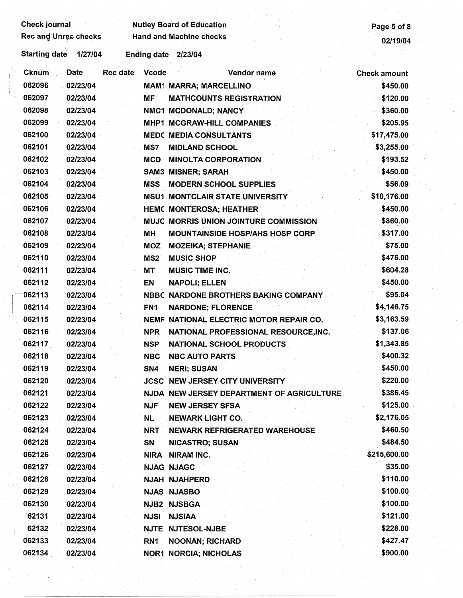| <b>Check journal</b>             | <b>Nutley Board of Education</b>                    | Page 5 of 8         |
|----------------------------------|-----------------------------------------------------|---------------------|
| Rec and Unrec checks             | <b>Hand and Machine checks</b>                      | 02/19/04            |
| <b>Starting date</b><br>1/27/04  | Ending date 2/23/04                                 |                     |
| Date<br><b>Rec date</b><br>Cknum | <b>Vcode</b><br>Vendor name                         | <b>Check amount</b> |
| 062096<br>02/23/04               | <b>MAM1 MARRA; MARCELLINO</b>                       | \$450.00            |
| 062097<br>02/23/04               | MF <sup>-</sup><br><b>MATHCOUNTS REGISTRATION</b>   | \$120.00            |
| 062098<br>02/23/04               | NMC1 MCDONALD; NANCY                                | \$360.00            |
| 062099<br>02/23/04               | <b>MHP1 MCGRAW-HILL COMPANIES</b>                   | \$205.95            |
| 062100<br>02/23/04               | <b>MEDC MEDIA CONSULTANTS</b>                       | \$17,475.00         |
| 062101<br>02/23/04               | MS7<br><b>MIDLAND SCHOOL</b>                        | \$3,255.00          |
| 062102<br>02/23/04               | <b>MCD</b><br><b>MINOLTA CORPORATION</b>            | \$193.52            |
| 062103<br>02/23/04               | <b>SAM3 MISNER; SARAH</b>                           | \$450.00            |
| 062104<br>02/23/04               | <b>MSS</b><br><b>MODERN SCHOOL SUPPLIES</b>         | \$56.09             |
| 062105<br>02/23/04               | <b>MSU1 MONTCLAIR STATE UNIVERSITY</b>              | \$10,176.00         |
| 062106<br>02/23/04               | <b>HEMC MONTEROSA; HEATHER</b>                      | \$450.00            |
| 062107<br>02/23/04               | MUJC MORRIS UNION JOINTURE COMMISSION               | \$860.00            |
| 062108<br>02/23/04               | <b>MH</b><br><b>MOUNTAINSIDE HOSP/AHS HOSP CORP</b> | \$317.00            |
| 062109<br>02/23/04               | <b>MOZ</b><br><b>MOZEIKA; STEPHANIE</b>             | \$75.00             |
| 062110<br>02/23/04               | MS <sub>2</sub><br><b>MUSIC SHOP</b>                | \$476.00            |
| 062111<br>02/23/04               | <b>MUSIC TIME INC.</b><br>МT                        | \$604.28            |
| 062112<br>02/23/04               | EN<br><b>NAPOLI; ELLEN</b>                          | \$450.00            |
| 062113<br>02/23/04               | NBBC NARDONE BROTHERS BAKING COMPANY                | \$95.04             |
| 062114<br>02/23/04               | FN <sub>1</sub><br><b>NARDONE; FLORENCE</b>         | \$4,146.75          |
| 062115<br>02/23/04               | NEMF NATIONAL ELECTRIC MOTOR REPAIR CO.             | \$3,163.59          |
| 062116<br>02/23/04               | <b>NPR</b><br>NATIONAL PROFESSIONAL RESOURCE, INC.  | \$137.06            |
| 062117<br>02/23/04               | <b>NSP</b><br><b>NATIONAL SCHOOL PRODUCTS</b>       | \$1,343.85          |
| 062118<br>02/23/04               | <b>NBC</b><br><b>NBC AUTO PARTS</b>                 | \$400.32            |
| 062119<br>02/23/04               | SN4<br><b>NERI; SUSAN</b>                           | \$450.00            |
| 062120<br>02/23/04               | <b>JCSC NEW JERSEY CITY UNIVERSITY</b>              | \$220.00            |
| 062121<br>02/23/04               | NJDA NEW JERSEY DEPARTMENT OF AGRICULTURE           | \$386.45            |
| 062122<br>02/23/04               | <b>NJF</b><br><b>NEW JERSEY SFSA</b>                | \$125.00            |
| 062123<br>02/23/04               | <b>NL</b><br><b>NEWARK LIGHT CO.</b>                | \$2,176.05          |
| 062124<br>02/23/04               | <b>NRT</b><br><b>NEWARK REFRIGERATED WAREHOUSE</b>  | \$460.50            |
| 062125<br>02/23/04               | <b>SN</b><br><b>NICASTRO; SUSAN</b>                 | \$484.50            |
| 062126<br>02/23/04               | NIRA NIRAM INC.                                     | \$215,600.00        |
| 062127<br>02/23/04               | <b>NJAG NJAGC</b>                                   | \$35.00             |
| 062128<br>02/23/04               | NJAH NJAHPERD                                       | \$110.00            |
| 062129<br>02/23/04               | <b>NJAS NJASBO</b>                                  | \$100.00            |
| 062130<br>02/23/04               | NJB2 NJSBGA                                         | \$100.00            |
| 62131<br>02/23/04                | <b>NJSI</b><br><b>NJSIAA</b>                        | \$121.00            |
| 62132<br>02/23/04                | NJTE NJTESOL-NJBE                                   | \$228.00            |
| 062133<br>02/23/04               | RN <sub>1</sub><br><b>NOONAN; RICHARD</b>           | \$427.47            |
| 062134<br>02/23/04               | <b>NOR1 NORCIA; NICHOLAS</b>                        | \$900.00            |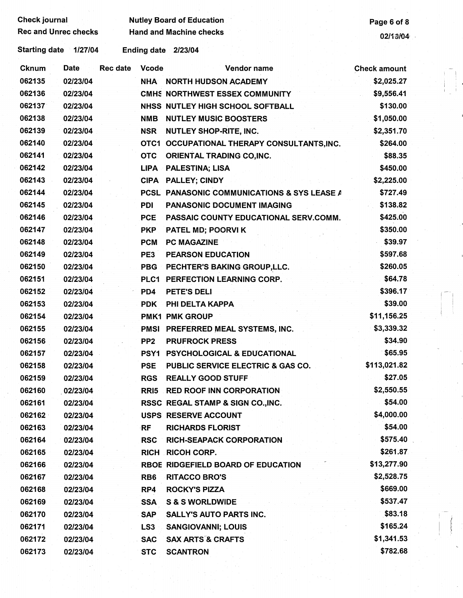Check journal **Nutley Board of Education**<br>Rec and Unrec checks Hand and Machine checks **Page 6 of 8** 

Rec and Machine checks and Unrec checks 02/13/04

Starting date 1/27/04 Ending date 2/23/04

| <b>Cknum</b> | <b>Date</b> | <b>Rec date</b> | <b>Vcode</b>    | Vendor name                                 | <b>Check amount</b> |  |
|--------------|-------------|-----------------|-----------------|---------------------------------------------|---------------------|--|
| 062135       | 02/23/04    |                 |                 | NHA NORTH HUDSON ACADEMY                    | \$2,025.27          |  |
| 062136       | 02/23/04    |                 |                 | CMHS NORTHWEST ESSEX COMMUNITY              | \$9,556.41          |  |
| 062137       | 02/23/04    |                 |                 | NHSS NUTLEY HIGH SCHOOL SOFTBALL            | \$130.00            |  |
| 062138       | 02/23/04    |                 | <b>NMB</b>      | <b>NUTLEY MUSIC BOOSTERS</b>                | \$1,050.00          |  |
| 062139       | 02/23/04    |                 | <b>NSR</b>      | <b>NUTLEY SHOP-RITE, INC.</b>               | \$2,351.70          |  |
| 062140       | 02/23/04    |                 |                 | OTC1 OCCUPATIONAL THERAPY CONSULTANTS, INC. | \$264.00            |  |
| 062141       | 02/23/04    |                 | <b>OTC</b>      | <b>ORIENTAL TRADING CO, INC.</b>            | \$88.35             |  |
| 062142       | 02/23/04    |                 |                 | LIPA PALESTINA; LISA                        | \$450.00            |  |
| 062143       | 02/23/04    |                 |                 | CIPA PALLEY; CINDY                          | \$2,225.00          |  |
| 062144       | 02/23/04    |                 |                 | PCSL PANASONIC COMMUNICATIONS & SYS LEASE A | \$727.49            |  |
| 062145       | 02/23/04    |                 | <b>PDI</b>      | PANASONIC DOCUMENT IMAGING                  | \$138.82            |  |
| 062146       | 02/23/04    |                 | <b>PCE</b>      | PASSAIC COUNTY EDUCATIONAL SERV.COMM.       | \$425.00            |  |
| 062147       | 02/23/04    |                 | <b>PKP</b>      | PATEL MD; POORVI K                          | \$350.00            |  |
| 062148       | 02/23/04    |                 | <b>PCM</b>      | <b>PC MAGAZINE</b>                          | \$39.97             |  |
| 062149       | 02/23/04    |                 | PE3             | <b>PEARSON EDUCATION</b>                    | \$597.68            |  |
| 062150       | 02/23/04    |                 |                 | PBG PECHTER'S BAKING GROUP, LLC.            | \$260.05            |  |
| 062151       | 02/23/04    |                 |                 | PLC1 PERFECTION LEARNING CORP.              | \$64.78             |  |
| 062152       | 02/23/04    |                 | PD4             | <b>PETE'S DELI</b>                          | \$396.17            |  |
| 062153       | 02/23/04    |                 | <b>PDK</b>      | PHI DELTA KAPPA                             | \$39.00             |  |
| 062154       | 02/23/04    |                 |                 | <b>PMK1 PMK GROUP</b>                       | \$11,156.25         |  |
| 062155       | 02/23/04    |                 |                 | PMSI PREFERRED MEAL SYSTEMS, INC.           | \$3,339.32          |  |
| 062156       | 02/23/04    |                 | PP <sub>2</sub> | <b>PRUFROCK PRESS</b>                       | \$34.90             |  |
| 062157       | 02/23/04    |                 |                 | PSY1 PSYCHOLOGICAL & EDUCATIONAL            | \$65.95             |  |
| 062158       | 02/23/04    |                 | <b>PSE</b>      | PUBLIC SERVICE ELECTRIC & GAS CO.           | \$113,021.82        |  |
| 062159       | 02/23/04    |                 | <b>RGS</b>      | <b>REALLY GOOD STUFF</b>                    | \$27.05             |  |
| 062160       | 02/23/04    |                 |                 | RRI5 RED ROOF INN CORPORATION               | \$2,550.55          |  |
| 062161       | 02/23/04    |                 |                 | RSSC REGAL STAMP & SIGN CO., INC.           | \$54.00             |  |
| 062162       | 02/23/04    |                 |                 | <b>USPS RESERVE ACCOUNT</b>                 | \$4,000.00          |  |
| 062163       | 02/23/04    |                 | RF              | <b>RICHARDS FLORIST</b>                     | \$54.00             |  |
| 062164       | 02/23/04    |                 | <b>RSC</b>      | <b>RICH-SEAPACK CORPORATION</b>             | \$575.40            |  |
| 062165       | 02/23/04    |                 |                 | RICH RICOH CORP.                            | \$261.87            |  |
| 062166       | 02/23/04    |                 |                 | RBOE RIDGEFIELD BOARD OF EDUCATION          | \$13,277.90         |  |
| 062167       | 02/23/04    |                 | RB <sub>6</sub> | <b>RITACCO BRO'S</b>                        | \$2,528.75          |  |
| 062168       | 02/23/04    |                 | RP4             | <b>ROCKY'S PIZZA</b>                        | \$669.00            |  |
| 062169       | 02/23/04    |                 | <b>SSA</b>      | <b>S &amp; S WORLDWIDE</b>                  | \$537.47            |  |
| 062170       | 02/23/04    |                 | <b>SAP</b>      | <b>SALLY'S AUTO PARTS INC.</b>              | \$83.18             |  |
| 062171       | 02/23/04    |                 | LS <sub>3</sub> | <b>SANGIOVANNI; LOUIS</b>                   | \$165.24            |  |
| 062172       | 02/23/04    |                 | <b>SAC</b>      | <b>SAX ARTS &amp; CRAFTS</b>                | \$1,341.53          |  |
| 062173       | 02/23/04    |                 | <b>STC</b>      | <b>SCANTRON</b>                             | \$782.68            |  |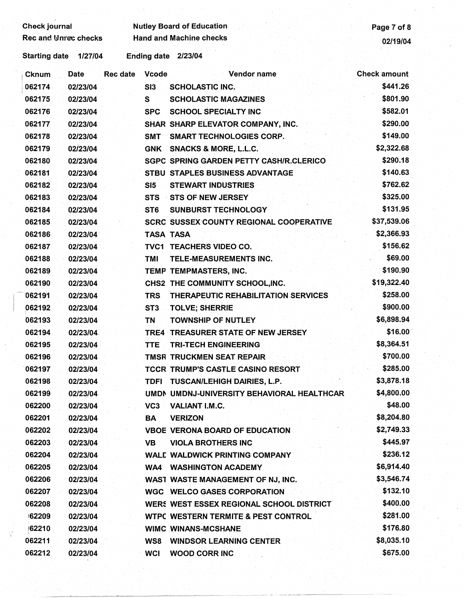| <b>Check journal</b> |             |          |                  | <b>Nutley Board of Education</b>               | Page 7 of 8         |
|----------------------|-------------|----------|------------------|------------------------------------------------|---------------------|
| Rec and Unrec checks |             |          |                  | <b>Hand and Machine checks</b>                 | 02/19/04            |
| <b>Starting date</b> | 1/27/04     |          |                  | Ending date 2/23/04                            |                     |
| <b>Cknum</b>         | <b>Date</b> | Rec date | <b>Vcode</b>     | Vendor name                                    | <b>Check amount</b> |
| 062174               | 02/23/04    |          | SI3              | <b>SCHOLASTIC INC.</b>                         | \$441.26            |
| 062175               | 02/23/04    |          | S                | <b>SCHOLASTIC MAGAZINES</b>                    | \$801.90            |
| 062176               | 02/23/04    |          | <b>SPC</b>       | <b>SCHOOL SPECIALTY INC</b>                    | \$582.01            |
| 062177               | 02/23/04    |          |                  | SHAR SHARP ELEVATOR COMPANY, INC.              | \$290.00            |
| 062178               | 02/23/04    |          | <b>SMT</b>       | <b>SMART TECHNOLOGIES CORP.</b>                | \$149.00            |
| 062179               | 02/23/04    |          | <b>GNK</b>       | <b>SNACKS &amp; MORE, L.L.C.</b>               | \$2,322.68          |
| 062180               | 02/23/04    |          |                  | <b>SGPC SPRING GARDEN PETTY CASH/R.CLERICO</b> | \$290.18            |
| 062181               | 02/23/04    |          |                  | STBU STAPLES BUSINESS ADVANTAGE                | \$140.63            |
| 062182               | 02/23/04    |          | SI5              | <b>STEWART INDUSTRIES</b>                      | \$762.62            |
| 062183               | 02/23/04    |          | <b>STS</b>       | <b>STS OF NEW JERSEY</b>                       | \$325.00            |
| 062184               | 02/23/04    |          | ST <sub>6</sub>  | <b>SUNBURST TECHNOLOGY</b>                     | \$131.95            |
| 062185               | 02/23/04    |          |                  | <b>SCRC SUSSEX COUNTY REGIONAL COOPERATIVE</b> | \$37,539.06         |
| 062186               | 02/23/04    |          | <b>TASA TASA</b> |                                                | \$2,366.93          |
| 062187               | 02/23/04    |          |                  | TVC1 TEACHERS VIDEO CO.                        | \$156.62            |
| 062188               | 02/23/04    |          | TMI              | TELE-MEASUREMENTS INC.                         | \$69.00             |
| 062189               | 02/23/04    |          |                  | TEMP TEMPMASTERS, INC.                         | \$190.90            |
| 062190               | 02/23/04    |          |                  | CHS2 THE COMMUNITY SCHOOL, INC.                | \$19,322.40         |
| 062191               | 02/23/04    |          | <b>TRS</b>       | THERAPEUTIC REHABILITATION SERVICES            | \$258.00            |
| 062192               | 02/23/04    |          | ST <sub>3</sub>  | <b>TOLVE; SHERRIE</b>                          | \$900.00            |
| 062193               | 02/23/04    |          | TN               | <b>TOWNSHIP OF NUTLEY</b>                      | \$6,898.94          |
| 062194               | 02/23/04    |          |                  | TRE4 TREASURER STATE OF NEW JERSEY             | \$16.00             |
| 062195               | 02/23/04    |          | <b>TTE</b>       | <b>TRI-TECH ENGINEERING</b>                    | \$8,364.51          |
| 062196               | 02/23/04    |          |                  | TMSR TRUCKMEN SEAT REPAIR                      | \$700.00            |
| 062197               | 02/23/04    |          |                  | <b>TCCR TRUMP'S CASTLE CASINO RESORT</b>       | \$285.00            |
| 062198               | 02/23/04    |          |                  | TDFI TUSCAN/LEHIGH DAIRIES, L.P.               | \$3,878.18          |
| 062199               | 02/23/04    |          |                  | UMDI UMDNJ-UNIVERSITY BEHAVIORAL HEALTHCAR     | \$4,800.00          |
| 062200               | 02/23/04    |          | VC <sub>3</sub>  | VALIANT I.M.C.                                 | \$48.00             |
| 062201               | 02/23/04    |          | BA               | <b>VERIZON</b>                                 | \$8,204.80          |
| 062202               | 02/23/04    |          |                  | <b>VBOE VERONA BOARD OF EDUCATION</b>          | \$2,749.33          |
| 062203               | 02/23/04    |          |                  | <b>VB</b> VIOLA BROTHERS INC                   | \$445.97            |
| 062204               | 02/23/04    |          |                  | <b>WALE WALDWICK PRINTING COMPANY</b>          | \$236.12            |
| 062205               | 02/23/04    |          |                  | <b>WA4 WASHINGTON ACADEMY</b>                  | \$6,914.40          |
| 062206               | 02/23/04    |          |                  | WAST WASTE MANAGEMENT OF NJ, INC.              | \$3,546.74          |
| 062207               | 02/23/04    |          |                  | <b>WGC WELCO GASES CORPORATION</b>             | \$132.10            |
| 062208               | 02/23/04    |          |                  | WERS WEST ESSEX REGIONAL SCHOOL DISTRICT       | \$400.00            |
| 62209                | 02/23/04    |          |                  | <b>WTPC WESTERN TERMITE &amp; PEST CONTROL</b> | \$281.00            |
| 62210                | 02/23/04    |          |                  | <b>WIMC WINANS-MCSHANE</b>                     | \$176.80            |
| 062211               | 02/23/04    |          |                  | <b>WS8 WINDSOR LEARNING CENTER</b>             | \$8,035.10          |

062212 02/23/04 WCI WOOD CORR INC \$675.00